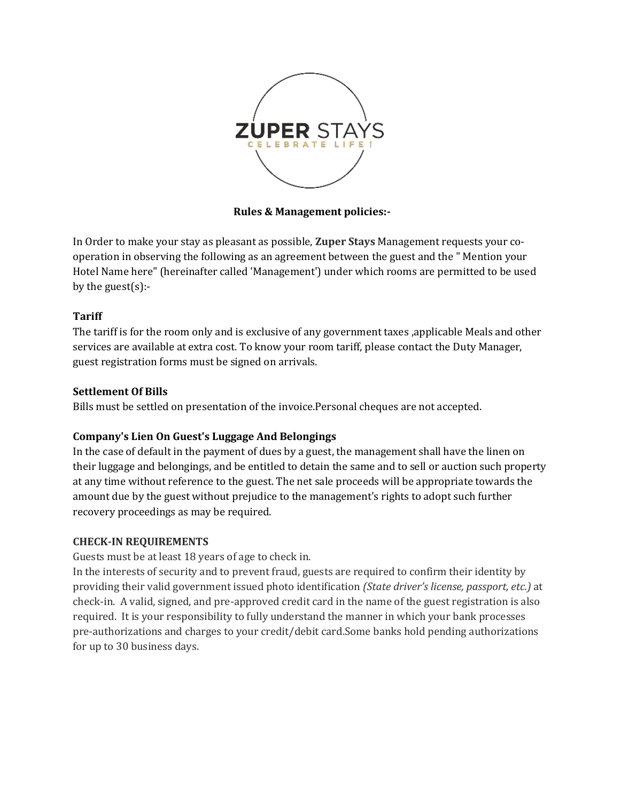

**Rules & Management policies:-**

In Order to make your stay as pleasant as possible, **Zuper Stays** Management requests your cooperation in observing the following as an agreement between the guest and the " Mention your Hotel Name here" (hereinafter called 'Management') under which rooms are permitted to be used by the guest $(s)$ :-

## **Tariff**

The tariff is for the room only and is exclusive of any government taxes ,applicable Meals and other services are available at extra cost. To know your room tariff, please contact the Duty Manager, guest registration forms must be signed on arrivals.

## **Settlement Of Bills**

Bills must be settled on presentation of the invoice.Personal cheques are not accepted.

## **Company's Lien On Guest's Luggage And Belongings**

In the case of default in the payment of dues by a guest, the management shall have the linen on their luggage and belongings, and be entitled to detain the same and to sell or auction such property at any time without reference to the guest. The net sale proceeds will be appropriate towards the amount due by the guest without prejudice to the management's rights to adopt such further recovery proceedings as may be required.

## **CHECK-IN REQUIREMENTS**

Guests must be at least 18 years of age to check in.

In the interests of security and to prevent fraud, guests are required to confirm their identity by providing their valid government issued photo identification *(State driver's license, passport, etc.)* at check-in. A valid, signed, and pre-approved credit card in the name of the guest registration is also required. It is your responsibility to fully understand the manner in which your bank processes pre-authorizations and charges to your credit/debit card.Some banks hold pending authorizations for up to 30 business days.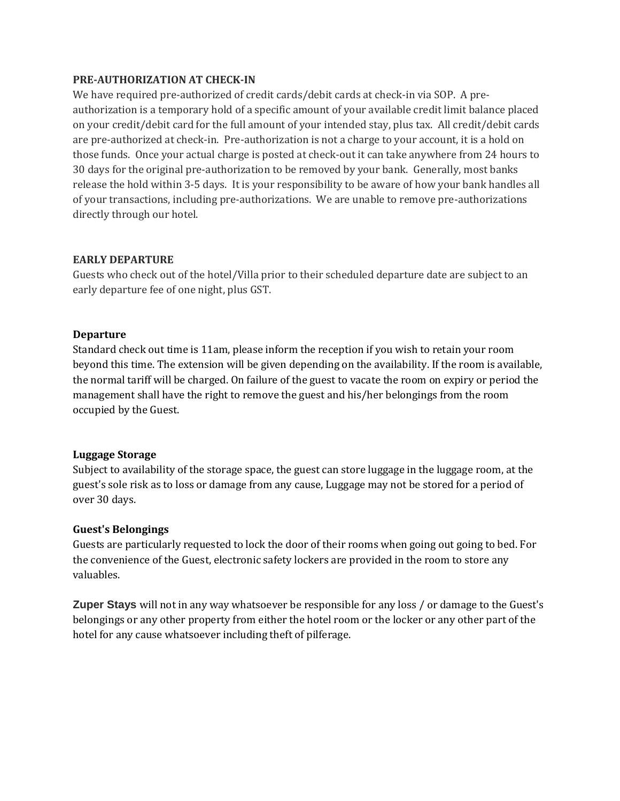#### **PRE-AUTHORIZATION AT CHECK-IN**

We have required pre-authorized of credit cards/debit cards at check-in via SOP. A preauthorization is a temporary hold of a specific amount of your available credit limit balance placed on your credit/debit card for the full amount of your intended stay, plus tax. All credit/debit cards are pre-authorized at check-in. Pre-authorization is not a charge to your account, it is a hold on those funds. Once your actual charge is posted at check-out it can take anywhere from 24 hours to 30 days for the original pre-authorization to be removed by your bank. Generally, most banks release the hold within 3-5 days. It is your responsibility to be aware of how your bank handles all of your transactions, including pre-authorizations. We are unable to remove pre-authorizations directly through our hotel.

#### **EARLY DEPARTURE**

Guests who check out of the hotel/Villa prior to their scheduled departure date are subject to an early departure fee of one night, plus GST.

#### **Departure**

Standard check out time is 11am, please inform the reception if you wish to retain your room beyond this time. The extension will be given depending on the availability. If the room is available, the normal tariff will be charged. On failure of the guest to vacate the room on expiry or period the management shall have the right to remove the guest and his/her belongings from the room occupied by the Guest.

#### **Luggage Storage**

Subject to availability of the storage space, the guest can store luggage in the luggage room, at the guest's sole risk as to loss or damage from any cause, Luggage may not be stored for a period of over 30 days.

## **Guest's Belongings**

Guests are particularly requested to lock the door of their rooms when going out going to bed. For the convenience of the Guest, electronic safety lockers are provided in the room to store any valuables.

**Zuper Stays** will not in any way whatsoever be responsible for any loss / or damage to the Guest's belongings or any other property from either the hotel room or the locker or any other part of the hotel for any cause whatsoever including theft of pilferage.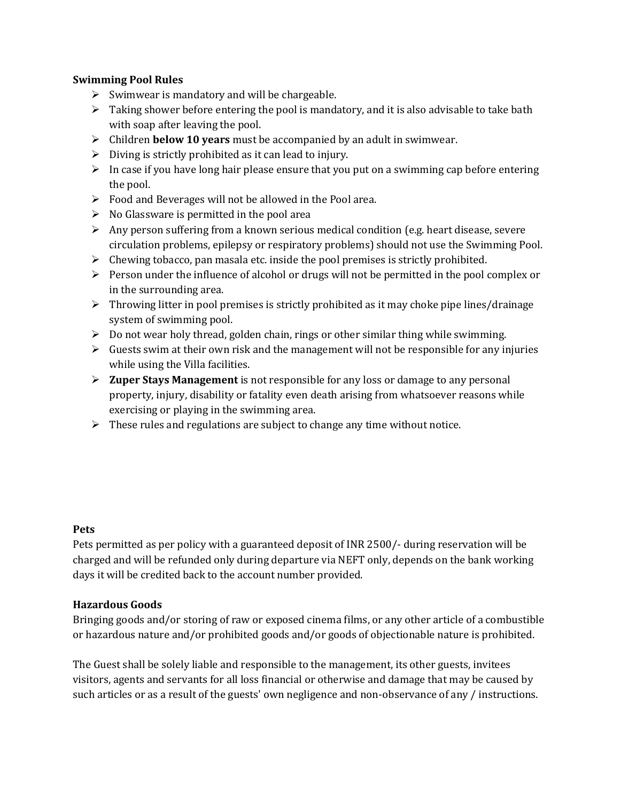## **Swimming Pool Rules**

- $\triangleright$  Swimwear is mandatory and will be chargeable.
- $\triangleright$  Taking shower before entering the pool is mandatory, and it is also advisable to take bath with soap after leaving the pool.
- Children **below 10 years** must be accompanied by an adult in swimwear.
- $\triangleright$  Diving is strictly prohibited as it can lead to injury.
- $\triangleright$  In case if you have long hair please ensure that you put on a swimming cap before entering the pool.
- $\triangleright$  Food and Beverages will not be allowed in the Pool area.
- $\triangleright$  No Glassware is permitted in the pool area
- Any person suffering from a known serious medical condition (e.g. heart disease, severe circulation problems, epilepsy or respiratory problems) should not use the Swimming Pool.
- $\triangleright$  Chewing tobacco, pan masala etc. inside the pool premises is strictly prohibited.
- $\triangleright$  Person under the influence of alcohol or drugs will not be permitted in the pool complex or in the surrounding area.
- $\triangleright$  Throwing litter in pool premises is strictly prohibited as it may choke pipe lines/drainage system of swimming pool.
- $\triangleright$  Do not wear holy thread, golden chain, rings or other similar thing while swimming.
- $\triangleright$  Guests swim at their own risk and the management will not be responsible for any injuries while using the Villa facilities.
- **Zuper Stays Management** is not responsible for any loss or damage to any personal property, injury, disability or fatality even death arising from whatsoever reasons while exercising or playing in the swimming area.
- $\triangleright$  These rules and regulations are subject to change any time without notice.

## **Pets**

Pets permitted as per policy with a guaranteed deposit of INR 2500/- during reservation will be charged and will be refunded only during departure via NEFT only, depends on the bank working days it will be credited back to the account number provided.

## **Hazardous Goods**

Bringing goods and/or storing of raw or exposed cinema films, or any other article of a combustible or hazardous nature and/or prohibited goods and/or goods of objectionable nature is prohibited.

The Guest shall be solely liable and responsible to the management, its other guests, invitees visitors, agents and servants for all loss financial or otherwise and damage that may be caused by such articles or as a result of the guests' own negligence and non-observance of any / instructions.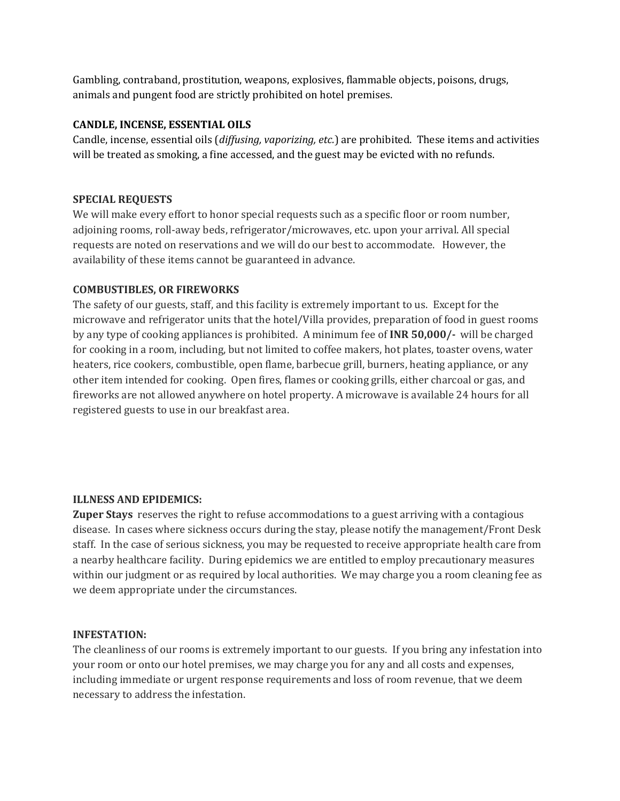Gambling, contraband, prostitution, weapons, explosives, flammable objects, poisons, drugs, animals and pungent food are strictly prohibited on hotel premises.

### **CANDLE, INCENSE, ESSENTIAL OILS**

Candle, incense, essential oils (*diffusing, vaporizing, etc.*) are prohibited. These items and activities will be treated as smoking, a fine accessed, and the guest may be evicted with no refunds.

### **SPECIAL REQUESTS**

We will make every effort to honor special requests such as a specific floor or room number, adjoining rooms, roll-away beds, refrigerator/microwaves, etc. upon your arrival. All special requests are noted on reservations and we will do our best to accommodate. However, the availability of these items cannot be guaranteed in advance.

#### **COMBUSTIBLES, OR FIREWORKS**

The safety of our guests, staff, and this facility is extremely important to us. Except for the microwave and refrigerator units that the hotel/Villa provides, preparation of food in guest rooms by any type of cooking appliances is prohibited. A minimum fee of **INR 50,000/-** will be charged for cooking in a room, including, but not limited to coffee makers, hot plates, toaster ovens, water heaters, rice cookers, combustible, open flame, barbecue grill, burners, heating appliance, or any other item intended for cooking. Open fires, flames or cooking grills, either charcoal or gas, and fireworks are not allowed anywhere on hotel property. A microwave is available 24 hours for all registered guests to use in our breakfast area.

#### **ILLNESS AND EPIDEMICS:**

**Zuper Stays** reserves the right to refuse accommodations to a guest arriving with a contagious disease. In cases where sickness occurs during the stay, please notify the management/Front Desk staff. In the case of serious sickness, you may be requested to receive appropriate health care from a nearby healthcare facility. During epidemics we are entitled to employ precautionary measures within our judgment or as required by local authorities. We may charge you a room cleaning fee as we deem appropriate under the circumstances.

#### **INFESTATION:**

The cleanliness of our rooms is extremely important to our guests. If you bring any infestation into your room or onto our hotel premises, we may charge you for any and all costs and expenses, including immediate or urgent response requirements and loss of room revenue, that we deem necessary to address the infestation.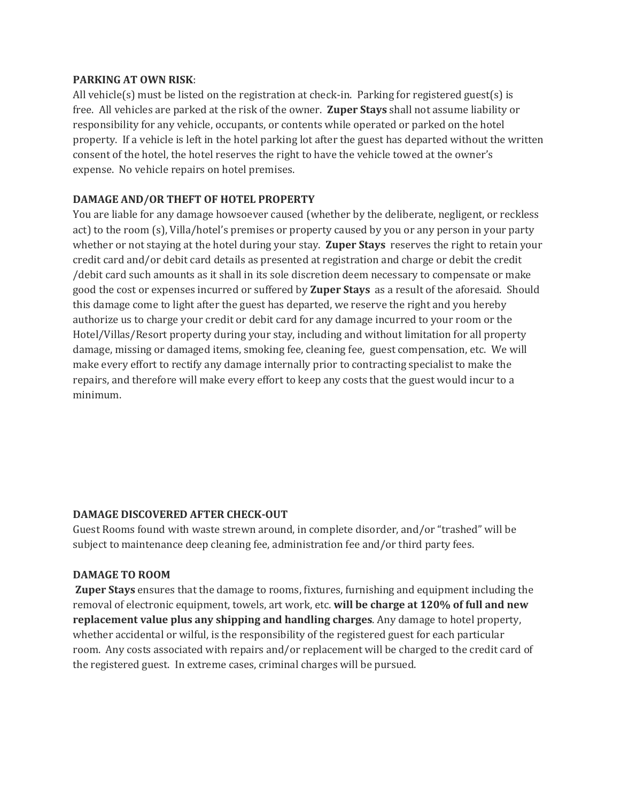#### **PARKING AT OWN RISK**:

All vehicle(s) must be listed on the registration at check-in. Parking for registered guest(s) is free. All vehicles are parked at the risk of the owner. **Zuper Stays** shall not assume liability or responsibility for any vehicle, occupants, or contents while operated or parked on the hotel property. If a vehicle is left in the hotel parking lot after the guest has departed without the written consent of the hotel, the hotel reserves the right to have the vehicle towed at the owner's expense. No vehicle repairs on hotel premises.

## **DAMAGE AND/OR THEFT OF HOTEL PROPERTY**

You are liable for any damage howsoever caused (whether by the deliberate, negligent, or reckless act) to the room (s), Villa/hotel's premises or property caused by you or any person in your party whether or not staying at the hotel during your stay. **Zuper Stays** reserves the right to retain your credit card and/or debit card details as presented at registration and charge or debit the credit /debit card such amounts as it shall in its sole discretion deem necessary to compensate or make good the cost or expenses incurred or suffered by **Zuper Stays** as a result of the aforesaid. Should this damage come to light after the guest has departed, we reserve the right and you hereby authorize us to charge your credit or debit card for any damage incurred to your room or the Hotel/Villas/Resort property during your stay, including and without limitation for all property damage, missing or damaged items, smoking fee, cleaning fee, guest compensation, etc. We will make every effort to rectify any damage internally prior to contracting specialist to make the repairs, and therefore will make every effort to keep any costs that the guest would incur to a minimum.

## **DAMAGE DISCOVERED AFTER CHECK-OUT**

Guest Rooms found with waste strewn around, in complete disorder, and/or "trashed" will be subject to maintenance deep cleaning fee, administration fee and/or third party fees.

## **DAMAGE TO ROOM**

**Zuper Stays** ensures that the damage to rooms, fixtures, furnishing and equipment including the removal of electronic equipment, towels, art work, etc. **will be charge at 120% of full and new replacement value plus any shipping and handling charges**. Any damage to hotel property, whether accidental or wilful, is the responsibility of the registered guest for each particular room. Any costs associated with repairs and/or replacement will be charged to the credit card of the registered guest. In extreme cases, criminal charges will be pursued.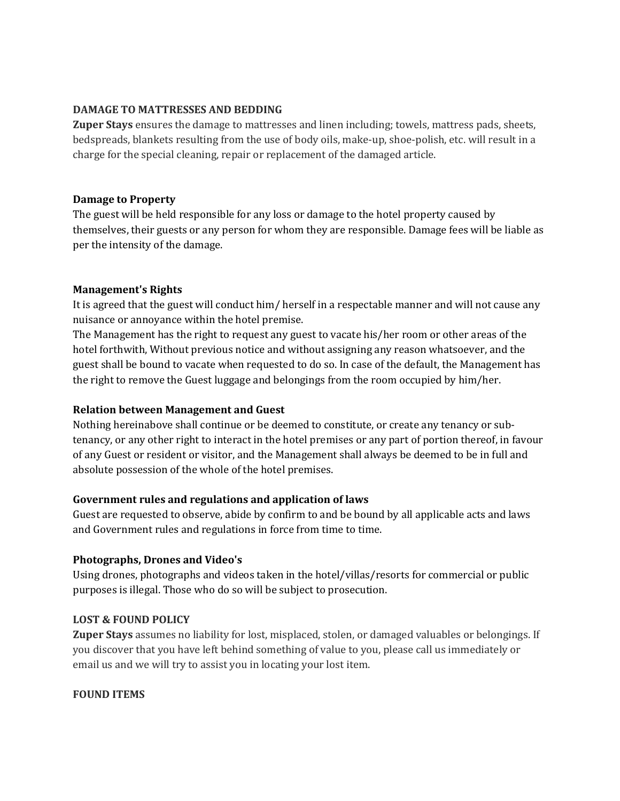#### **DAMAGE TO MATTRESSES AND BEDDING**

**Zuper Stays** ensures the damage to mattresses and linen including; towels, mattress pads, sheets, bedspreads, blankets resulting from the use of body oils, make-up, shoe-polish, etc. will result in a charge for the special cleaning, repair or replacement of the damaged article.

#### **Damage to Property**

The guest will be held responsible for any loss or damage to the hotel property caused by themselves, their guests or any person for whom they are responsible. Damage fees will be liable as per the intensity of the damage.

#### **Management's Rights**

It is agreed that the guest will conduct him/ herself in a respectable manner and will not cause any nuisance or annoyance within the hotel premise.

The Management has the right to request any guest to vacate his/her room or other areas of the hotel forthwith, Without previous notice and without assigning any reason whatsoever, and the guest shall be bound to vacate when requested to do so. In case of the default, the Management has the right to remove the Guest luggage and belongings from the room occupied by him/her.

## **Relation between Management and Guest**

Nothing hereinabove shall continue or be deemed to constitute, or create any tenancy or subtenancy, or any other right to interact in the hotel premises or any part of portion thereof, in favour of any Guest or resident or visitor, and the Management shall always be deemed to be in full and absolute possession of the whole of the hotel premises.

#### **Government rules and regulations and application of laws**

Guest are requested to observe, abide by confirm to and be bound by all applicable acts and laws and Government rules and regulations in force from time to time.

#### **Photographs, Drones and Video's**

Using drones, photographs and videos taken in the hotel/villas/resorts for commercial or public purposes is illegal. Those who do so will be subject to prosecution.

## **LOST & FOUND POLICY**

**Zuper Stays** assumes no liability for lost, misplaced, stolen, or damaged valuables or belongings. If you discover that you have left behind something of value to you, please call us immediately or email us and we will try to assist you in locating your lost item.

## **FOUND ITEMS**